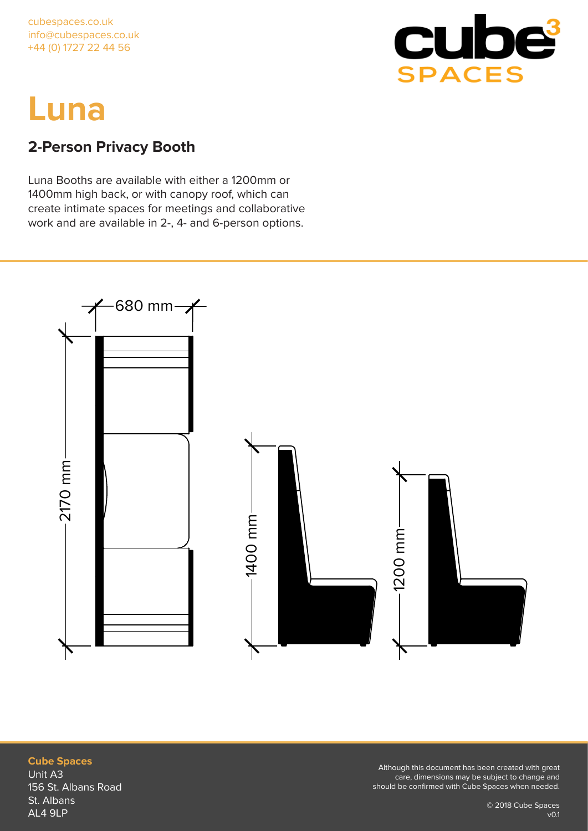

## **2-Person Privacy Booth**

Luna Booths are available with either a 1200mm or 1400mm high back, or with canopy roof, which can create intimate spaces for meetings and collaborative work and are available in 2-, 4- and 6-person options.

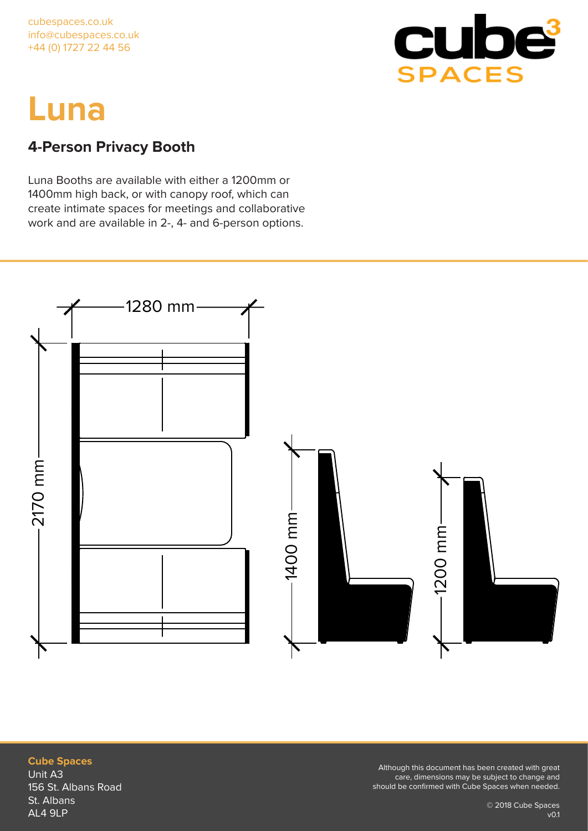

## **4-Person Privacy Booth**

Luna Booths are available with either a 1200mm or 1400mm high back, or with canopy roof, which can create intimate spaces for meetings and collaborative work and are available in 2-, 4- and 6-person options.



### **Cube Spaces** Unit A3 156 St. Albans Road St. Albans AL4 9LP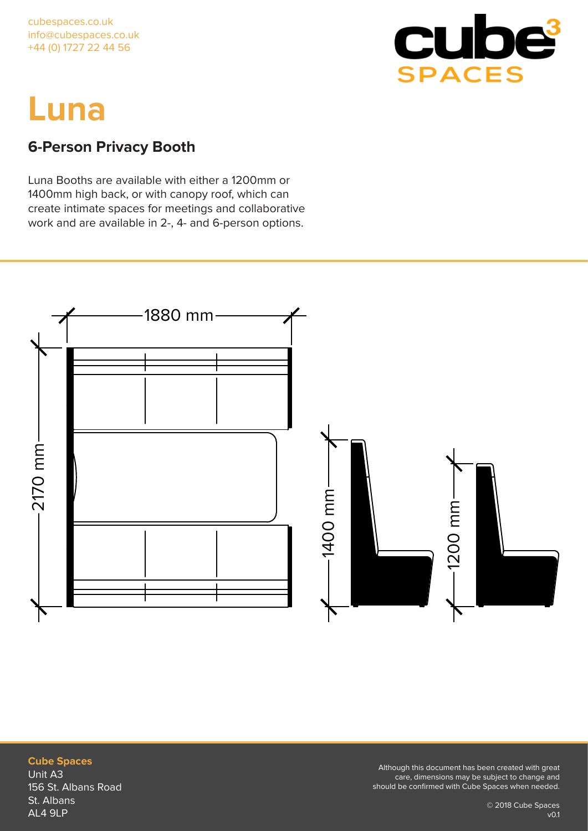

## **6-Person Privacy Booth**

Luna Booths are available with either a 1200mm or 1400mm high back, or with canopy roof, which can create intimate spaces for meetings and collaborative work and are available in 2-, 4- and 6-person options.



### **Cube Spaces** Unit A3 156 St. Albans Road St. Albans AL4 9LP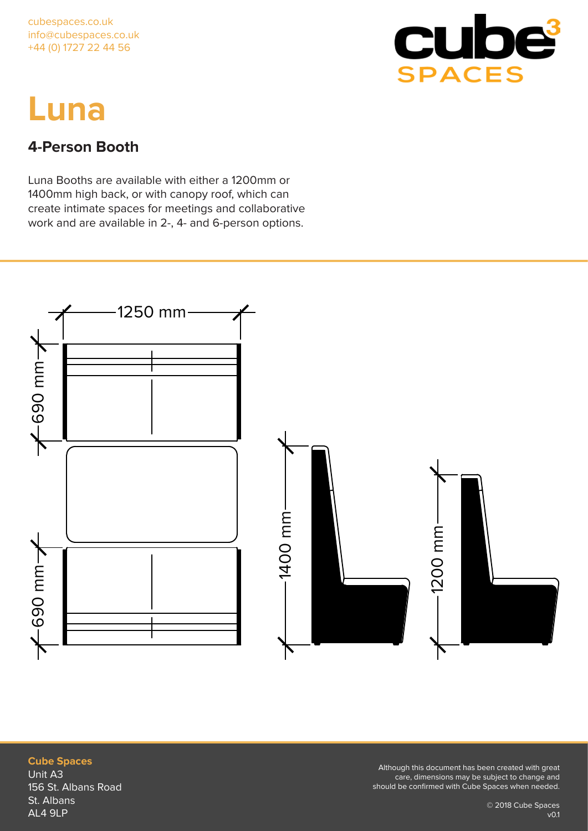

### **4-Person Booth**

Luna Booths are available with either a 1200mm or 1400mm high back, or with canopy roof, which can create intimate spaces for meetings and collaborative work and are available in 2-, 4- and 6-person options.



### **Cube Spaces** Unit A3 156 St. Albans Road St. Albans AL4 9LP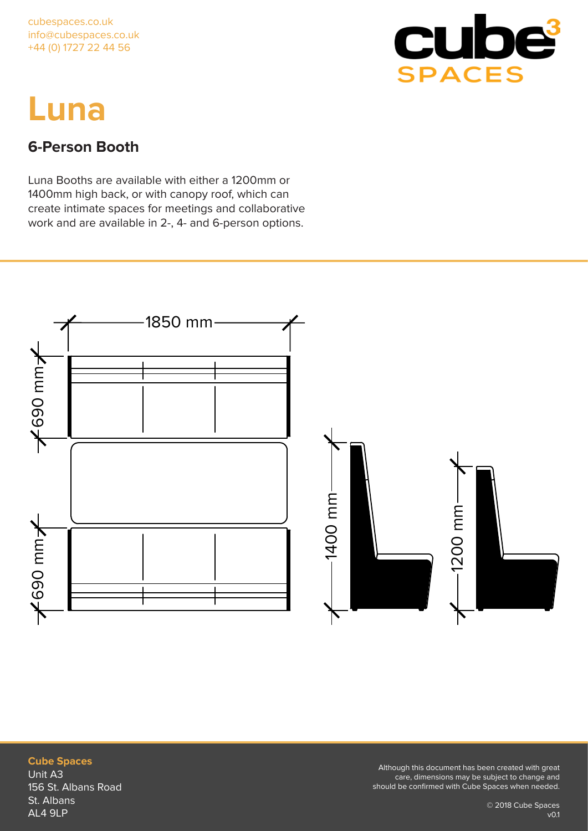

### **6-Person Booth**

Luna Booths are available with either a 1200mm or 1400mm high back, or with canopy roof, which can create intimate spaces for meetings and collaborative work and are available in 2-, 4- and 6-person options.



### **Cube Spaces** Unit A3 156 St. Albans Road St. Albans AL4 9LP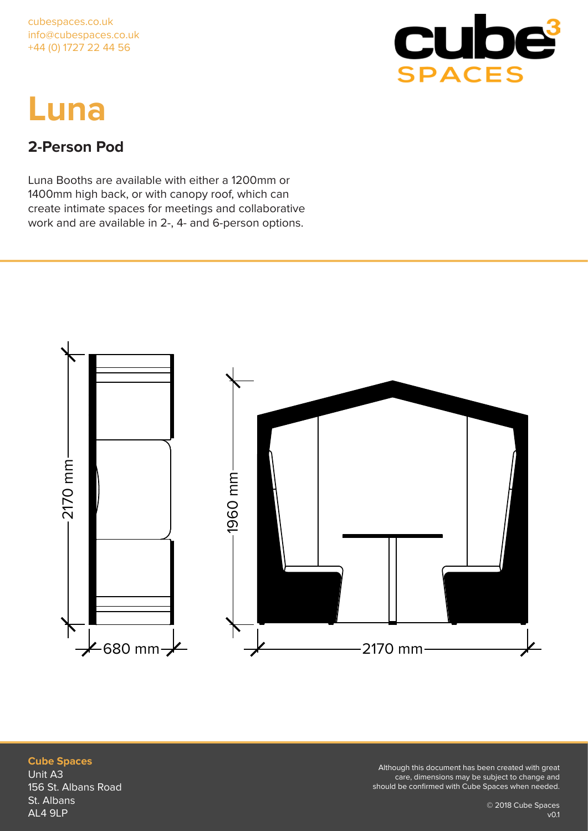

## **2-Person Pod**

Luna Booths are available with either a 1200mm or 1400mm high back, or with canopy roof, which can create intimate spaces for meetings and collaborative work and are available in 2-, 4- and 6-person options.



**Cube Spaces** Unit A3 156 St. Albans Road St. Albans AL4 9LP